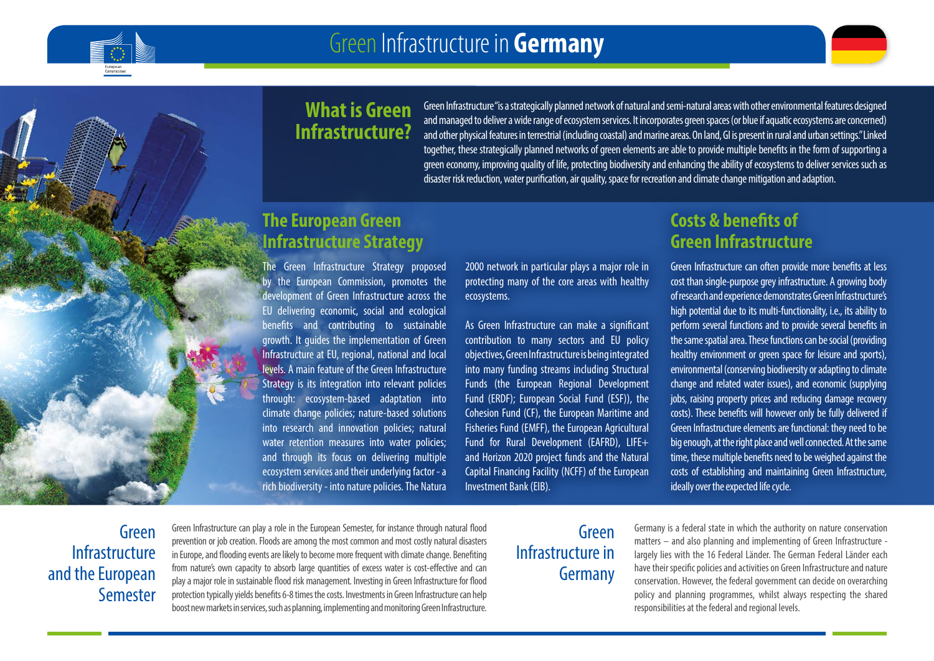

# **What is Green Infrastructure?**

Green Infrastructure "is a strategically planned network of natural and semi-natural areas with other environmental features designed and managed to deliver a wide range of ecosystem services. It incorporates green spaces (or blue if aquatic ecosystems are concerned) and other physical features in terrestrial (including coastal) and marine areas. On land, GI is present in rural and urban settings." Linked together, these strategically planned networks of green elements are able to provide multiple benefits in the form of supporting a green economy, improving quality of life, protecting biodiversity and enhancing the ability of ecosystems to deliver services such as disaster risk reduction, water purification, air quality, space for recreation and climate change mitigation and adaption.

# **The European Green Infrastructure Strategy**

The Green Infrastructure Strategy proposed by the European Commission, promotes the development of Green Infrastructure across the EU delivering economic, social and ecological benefits and contributing to sustainable growth. It guides the implementation of Green Infrastructure at EU, regional, national and local levels. A main feature of the Green Infrastructure Strategy is its integration into relevant policies through: ecosystem-based adaptation into climate change policies; nature-based solutions into research and innovation policies; natural water retention measures into water policies; and through its focus on delivering multiple ecosystem services and their underlying factor - a rich biodiversity - into nature policies. The Natura 2000 network in particular plays a major role in protecting many of the core areas with healthy ecosystems.

As Green Infrastructure can make a significant contribution to many sectors and EU policy objectives, Green Infrastructure is being integrated into many funding streams including Structural Funds (the European Regional Development Fund (ERDF); European Social Fund (ESF)), the Cohesion Fund (CF), the European Maritime and Fisheries Fund (EMFF), the European Agricultural Fund for Rural Development (EAFRD), LIFE+ and Horizon 2020 project funds and the Natural Capital Financing Facility (NCFF) of the European Investment Bank (EIB).

# **Costs & benefits of Green Infrastructure**

Green Infrastructure can often provide more benefits at less cost than single-purpose grey infrastructure. A growing body of research and experience demonstrates Green Infrastructure's high potential due to its multi-functionality, i.e., its ability to perform several functions and to provide several benefits in the same spatial area. These functions can be social (providing healthy environment or green space for leisure and sports), environmental (conserving biodiversity or adapting to climate change and related water issues), and economic (supplying jobs, raising property prices and reducing damage recovery costs). These benefits will however only be fully delivered if Green Infrastructure elements are functional: they need to be big enough, at the right place and well connected. At the same time, these multiple benefits need to be weighed against the costs of establishing and maintaining Green Infrastructure, ideally over the expected life cycle.

# Green Infrastructure and the European Semester

Green Infrastructure can play a role in the European Semester, for instance through natural flood prevention or job creation. Floods are among the most common and most costly natural disasters in Europe, and flooding events are likely to become more frequent with climate change. Benefiting from nature's own capacity to absorb large quantities of excess water is cost-effective and can play a major role in sustainable flood risk management. Investing in Green Infrastructure for flood protection typically yields benefits 6-8 times the costs. Investments in Green Infrastructure can help boost new markets in services, such as planning, implementing and monitoring Green Infrastructure.

# Green Infrastructure in Germany

Germany is a federal state in which the authority on nature conservation matters – and also planning and implementing of Green Infrastructure largely lies with the 16 Federal Länder. The German Federal Länder each have their specific policies and activities on Green Infrastructure and nature conservation. However, the federal government can decide on overarching policy and planning programmes, whilst always respecting the shared responsibilities at the federal and regional levels.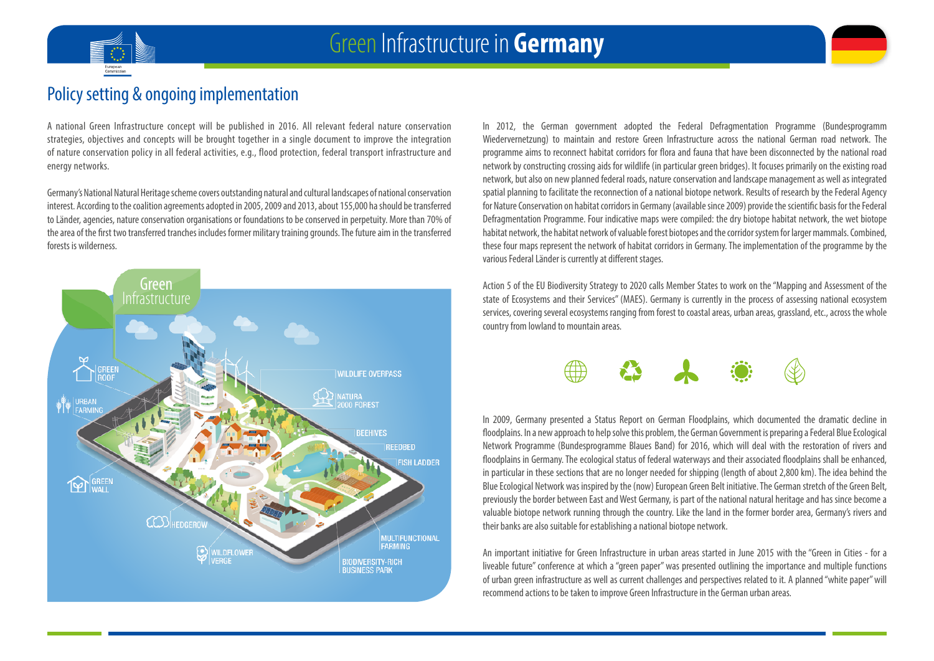



## Policy setting & ongoing implementation

A national Green Infrastructure concept will be published in 2016. All relevant federal nature conservation strategies, objectives and concepts will be brought together in a single document to improve the integration of nature conservation policy in all federal activities, e.g., flood protection, federal transport infrastructure and energy networks.

Germany's National Natural Heritage scheme covers outstanding natural and cultural landscapes of national conservation interest. According to the coalition agreements adopted in 2005, 2009 and 2013, about 155,000 ha should be transferred to Länder, agencies, nature conservation organisations or foundations to be conserved in perpetuity. More than 70% of the area of the first two transferred tranches includes former military training grounds. The future aim in the transferred forests is wilderness.



In 2012, the German government adopted the Federal Defragmentation Programme (Bundesprogramm Wiedervernetzung) to maintain and restore Green Infrastructure across the national German road network. The programme aims to reconnect habitat corridors for flora and fauna that have been disconnected by the national road network by constructing crossing aids for wildlife (in particular green bridges). It focuses primarily on the existing road network, but also on new planned federal roads, nature conservation and landscape management as well as integrated spatial planning to facilitate the reconnection of a national biotope network. Results of research by the Federal Agency for Nature Conservation on habitat corridors in Germany (available since 2009) provide the scientific basis for the Federal Defragmentation Programme. Four indicative maps were compiled: the dry biotope habitat network, the wet biotope habitat network, the habitat network of valuable forest biotopes and the corridor system for larger mammals. Combined, these four maps represent the network of habitat corridors in Germany. The implementation of the programme by the various Federal Länder is currently at different stages.

Action 5 of the EU Biodiversity Strategy to 2020 calls Member States to work on the "Mapping and Assessment of the state of Ecosystems and their Services" (MAES). Germany is currently in the process of assessing national ecosystem services, covering several ecosystems ranging from forest to coastal areas, urban areas, grassland, etc., across the whole country from lowland to mountain areas.



In 2009, Germany presented a Status Report on German Floodplains, which documented the dramatic decline in floodplains. In a new approach to help solve this problem, the German Government is preparing a Federal Blue Ecological Network Programme (Bundesprogramme Blaues Band) for 2016, which will deal with the restoration of rivers and floodplains in Germany. The ecological status of federal waterways and their associated floodplains shall be enhanced, in particular in these sections that are no longer needed for shipping (length of about 2,800 km). The idea behind the Blue Ecological Network was inspired by the (now) European Green Belt initiative. The German stretch of the Green Belt, previously the border between East and West Germany, is part of the national natural heritage and has since become a valuable biotope network running through the country. Like the land in the former border area, Germany's rivers and their banks are also suitable for establishing a national biotope network.

An important initiative for Green Infrastructure in urban areas started in June 2015 with the "Green in Cities - for a liveable future" conference at which a "green paper" was presented outlining the importance and multiple functions of urban green infrastructure as well as current challenges and perspectives related to it. A planned "white paper" will recommend actions to be taken to improve Green Infrastructure in the German urban areas.